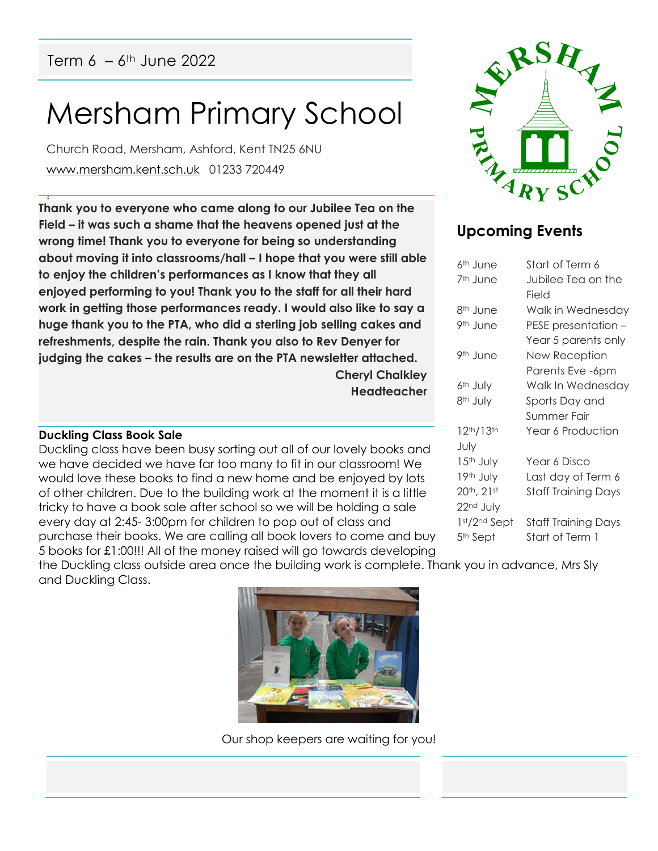# Mersham Primary School

Church Road, Mersham, Ashford, Kent TN25 6NU [www.mersham.kent.sch.uk](http://www.mersham.kent.sch.uk/) 01233 720449

! **Thank you to everyone who came along to our Jubilee Tea on the Field – it was such a shame that the heavens opened just at the wrong time! Thank you to everyone for being so understanding about moving it into classrooms/hall – I hope that you were still able to enjoy the children's performances as I know that they all enjoyed performing to you! Thank you to the staff for all their hard work in getting those performances ready. I would also like to say a huge thank you to the PTA, who did a sterling job selling cakes and refreshments, despite the rain. Thank you also to Rev Denyer for judging the cakes – the results are on the PTA newsletter attached. Cheryl Chalkley**

# **Headteacher**

**Duckling Class Book Sale**

Duckling class have been busy sorting out all of our lovely books and we have decided we have far too many to fit in our classroom! We would love these books to find a new home and be enjoyed by lots of other children. Due to the building work at the moment it is a little tricky to have a book sale after school so we will be holding a sale every day at 2:45- 3:00pm for children to pop out of class and purchase their books. We are calling all book lovers to come and buy 5 books for £1:00!!! All of the money raised will go towards developing



# **Upcoming Events**

| 6 <sup>th</sup> June               | Start of Term 6            |
|------------------------------------|----------------------------|
| 7 <sup>th</sup> June               | Jubilee Tea on the         |
|                                    | Field                      |
| 8 <sup>th</sup> June               | Walk in Wednesday          |
| 9 <sup>th</sup> June               | PESE presentation –        |
|                                    | Year 5 parents only        |
| 9th June                           | New Reception              |
|                                    | Parents Eve -6pm           |
| 6 <sup>th</sup> July               | Walk In Wednesday          |
| 8 <sup>th</sup> July               | Sports Day and             |
|                                    | Summer Fair                |
| 12 <sup>th</sup> /13 <sup>th</sup> | Year 6 Production          |
| July                               |                            |
| 15 <sup>th</sup> July              | Year 6 Disco               |
| 19th July                          | Last day of Term 6         |
| 20th, 21st                         | <b>Staff Training Days</b> |
| 22 <sup>nd</sup> July              |                            |
| 1st/2nd Sept                       | <b>Staff Training Days</b> |
| 5 <sup>th</sup> Sept               | Start of Term 1            |
|                                    |                            |

the Duckling class outside area once the building work is complete. Thank you in advance, Mrs Sly and Duckling Class.



Our shop keepers are waiting for you!